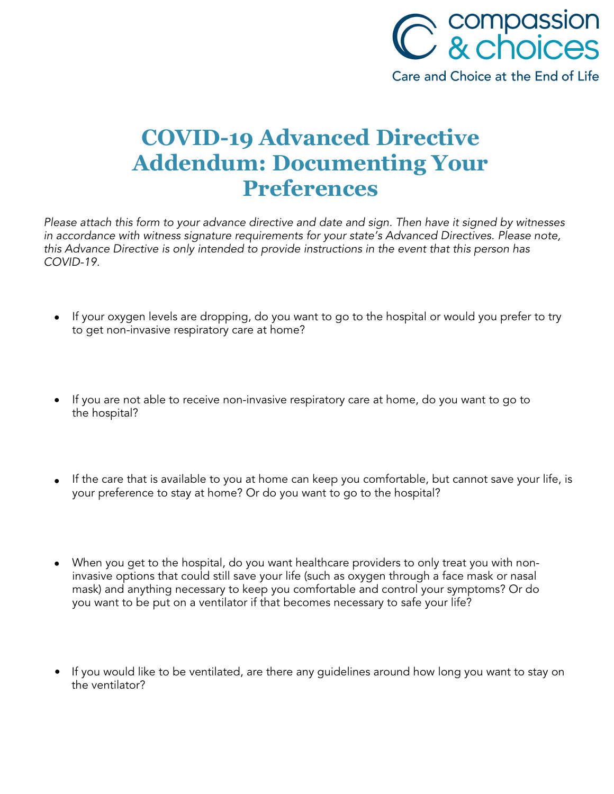

## **COVID-19 Advanced Directive Addendum: Documenting Your Preferences**

Please attach this form to your advance directive and date and sign. Then have it signed by witnesses in accordance with witness signature requirements for your state's Advanced Directives. Please note, this Advance Directive is only intended to provide instructions in the event that this person has COVID-19.

- If your oxygen levels are dropping, do you want to go to the hospital or would you prefer to try to get non-invasive respiratory care at home?
- If you are not able to receive non-invasive respiratory care at home, do you want to go to the hospital?
- If the care that is available to you at home can keep you comfortable, but cannot save your life, is your preference to stay at home? Or do you want to go to the hospital?
- When you get to the hospital, do you want healthcare providers to only treat you with noninvasive options that could still save your life (such as oxygen through a face mask or nasal mask) and anything necessary to keep you comfortable and control your symptoms? Or do you want to be put on a ventilator if that becomes necessary to safe your life?
- If you would like to be ventilated, are there any guidelines around how long you want to stay on the ventilator?